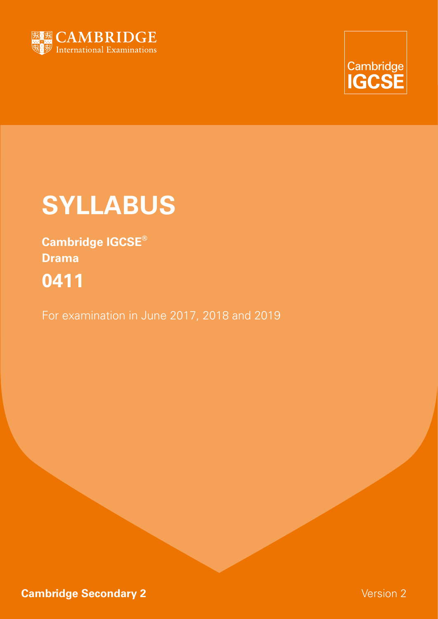



# **SYLLABUS**

**Cambridge IGCSE® Drama 0411**

For examination in June 2017, 2018 and 2019

**Cambridge Secondary 2** Version 2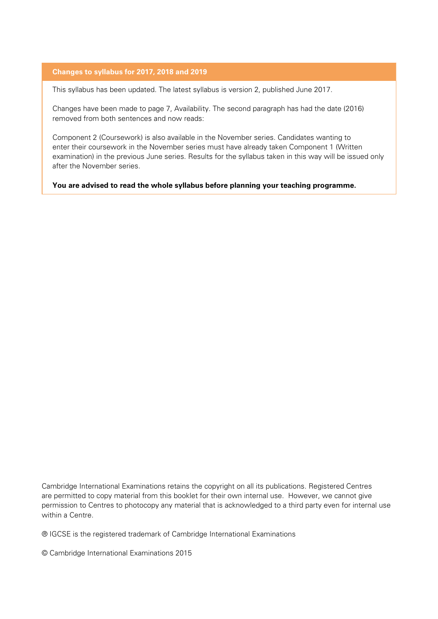#### **Changes to syllabus for 2017, 2018 and 2019**

This syllabus has been updated. The latest syllabus is version 2, published June 2017.

Changes have been made to page 7, Availability. The second paragraph has had the date (2016) removed from both sentences and now reads:

Component 2 (Coursework) is also available in the November series. Candidates wanting to enter their coursework in the November series must have already taken Component 1 (Written examination) in the previous June series. Results for the syllabus taken in this way will be issued only after the November series.

**You are advised to read the whole syllabus before planning your teaching programme.**

Cambridge International Examinations retains the copyright on all its publications. Registered Centres are permitted to copy material from this booklet for their own internal use. However, we cannot give permission to Centres to photocopy any material that is acknowledged to a third party even for internal use within a Centre.

® IGCSE is the registered trademark of Cambridge International Examinations

© Cambridge International Examinations 2015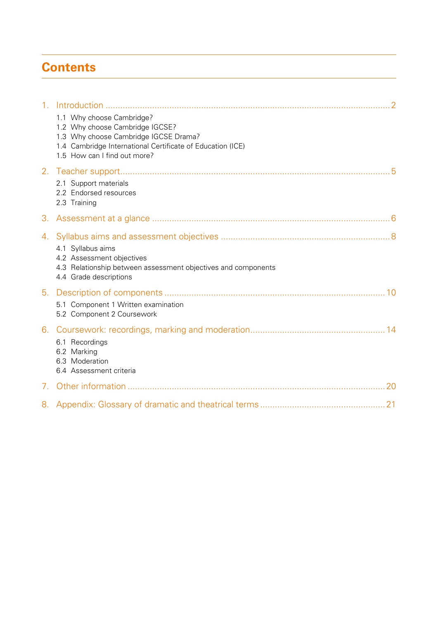# **Contents**

| 1 <sub>1</sub>                  |                                                                                                                                                                                                     |
|---------------------------------|-----------------------------------------------------------------------------------------------------------------------------------------------------------------------------------------------------|
|                                 | 1.1 Why choose Cambridge?<br>1.2 Why choose Cambridge IGCSE?<br>1.3 Why choose Cambridge IGCSE Drama?<br>1.4 Cambridge International Certificate of Education (ICE)<br>1.5 How can I find out more? |
| 2.                              |                                                                                                                                                                                                     |
|                                 | 2.1 Support materials<br>2.2 Endorsed resources<br>2.3 Training                                                                                                                                     |
| 3.                              |                                                                                                                                                                                                     |
| 4.                              |                                                                                                                                                                                                     |
|                                 | 4.1 Syllabus aims                                                                                                                                                                                   |
|                                 | 4.2 Assessment objectives<br>4.3 Relationship between assessment objectives and components<br>4.4 Grade descriptions                                                                                |
| 5.                              |                                                                                                                                                                                                     |
|                                 | 5.1 Component 1 Written examination<br>5.2 Component 2 Coursework                                                                                                                                   |
| 6.                              |                                                                                                                                                                                                     |
|                                 | 6.1 Recordings<br>6.2 Marking                                                                                                                                                                       |
|                                 | 6.3 Moderation                                                                                                                                                                                      |
|                                 | 6.4 Assessment criteria                                                                                                                                                                             |
| $7_{\scriptscriptstyle{\circ}}$ |                                                                                                                                                                                                     |
|                                 |                                                                                                                                                                                                     |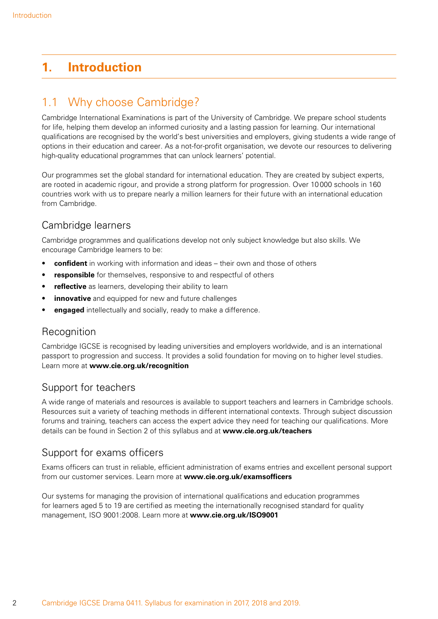# <span id="page-3-0"></span>**1. Introduction**

# 1.1 Why choose Cambridge?

Cambridge International Examinations is part of the University of Cambridge. We prepare school students for life, helping them develop an informed curiosity and a lasting passion for learning. Our international qualifications are recognised by the world's best universities and employers, giving students a wide range of options in their education and career. As a not-for-profit organisation, we devote our resources to delivering high-quality educational programmes that can unlock learners' potential.

Our programmes set the global standard for international education. They are created by subject experts, are rooted in academic rigour, and provide a strong platform for progression. Over 10000 schools in 160 countries work with us to prepare nearly a million learners for their future with an international education from Cambridge.

# Cambridge learners

Cambridge programmes and qualifications develop not only subject knowledge but also skills. We encourage Cambridge learners to be:

- **confident** in working with information and ideas their own and those of others
- **responsible** for themselves, responsive to and respectful of others
- reflective as learners, developing their ability to learn
- **innovative** and equipped for new and future challenges
- **engaged** intellectually and socially, ready to make a difference.

### **Recognition**

Cambridge IGCSE is recognised by leading universities and employers worldwide, and is an international passport to progression and success. It provides a solid foundation for moving on to higher level studies. Learn more at **www.cie.org.uk/recognition**

### Support for teachers

A wide range of materials and resources is available to support teachers and learners in Cambridge schools. Resources suit a variety of teaching methods in different international contexts. Through subject discussion forums and training, teachers can access the expert advice they need for teaching our qualifications. More details can be found in Section 2 of this syllabus and at **www.cie.org.uk/teachers**

### Support for exams officers

Exams officers can trust in reliable, efficient administration of exams entries and excellent personal support from our customer services. Learn more at **www.cie.org.uk/examsofficers** 

Our systems for managing the provision of international qualifications and education programmes for learners aged 5 to 19 are certified as meeting the internationally recognised standard for quality management, ISO 9001:2008. Learn more at **www.cie.org.uk/ISO9001**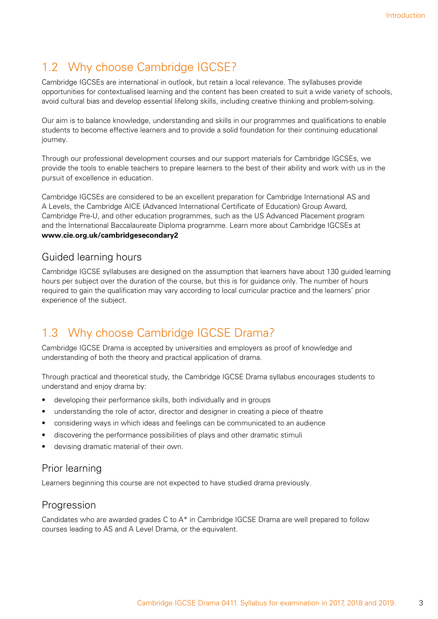# <span id="page-4-0"></span>1.2 Why choose Cambridge IGCSE?

Cambridge IGCSEs are international in outlook, but retain a local relevance. The syllabuses provide opportunities for contextualised learning and the content has been created to suit a wide variety of schools, avoid cultural bias and develop essential lifelong skills, including creative thinking and problem-solving.

Our aim is to balance knowledge, understanding and skills in our programmes and qualifications to enable students to become effective learners and to provide a solid foundation for their continuing educational journey.

Through our professional development courses and our support materials for Cambridge IGCSEs, we provide the tools to enable teachers to prepare learners to the best of their ability and work with us in the pursuit of excellence in education.

Cambridge IGCSEs are considered to be an excellent preparation for Cambridge International AS and A Levels, the Cambridge AICE (Advanced International Certificate of Education) Group Award, Cambridge Pre-U, and other education programmes, such as the US Advanced Placement program and the International Baccalaureate Diploma programme. Learn more about Cambridge IGCSEs at **www.cie.org.uk/cambridgesecondary2**

### Guided learning hours

Cambridge IGCSE syllabuses are designed on the assumption that learners have about 130 guided learning hours per subject over the duration of the course, but this is for guidance only. The number of hours required to gain the qualification may vary according to local curricular practice and the learners' prior experience of the subject.

# 1.3 Why choose Cambridge IGCSE Drama?

Cambridge IGCSE Drama is accepted by universities and employers as proof of knowledge and understanding of both the theory and practical application of drama.

Through practical and theoretical study, the Cambridge IGCSE Drama syllabus encourages students to understand and enjoy drama by:

- developing their performance skills, both individually and in groups
- understanding the role of actor, director and designer in creating a piece of theatre
- considering ways in which ideas and feelings can be communicated to an audience
- discovering the performance possibilities of plays and other dramatic stimuli
- devising dramatic material of their own.

### Prior learning

Learners beginning this course are not expected to have studied drama previously.

### **Progression**

Candidates who are awarded grades C to  $A^*$  in Cambridge IGCSE Drama are well prepared to follow courses leading to AS and A Level Drama, or the equivalent.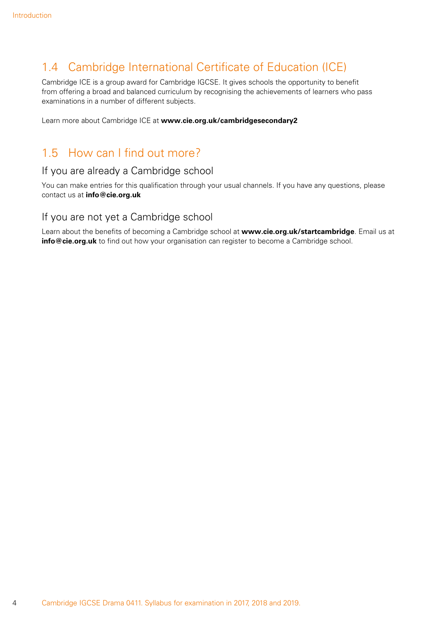# <span id="page-5-0"></span>1.4 Cambridge International Certificate of Education (ICE)

Cambridge ICE is a group award for Cambridge IGCSE. It gives schools the opportunity to benefit from offering a broad and balanced curriculum by recognising the achievements of learners who pass examinations in a number of different subjects.

Learn more about Cambridge ICE at **www.cie.org.uk/cambridgesecondary2**

# 1.5 How can I find out more?

### If you are already a Cambridge school

You can make entries for this qualification through your usual channels. If you have any questions, please contact us at **info@cie.org.uk**

### If you are not yet a Cambridge school

Learn about the benefits of becoming a Cambridge school at **www.cie.org.uk/startcambridge**. Email us at **info@cie.org.uk** to find out how your organisation can register to become a Cambridge school.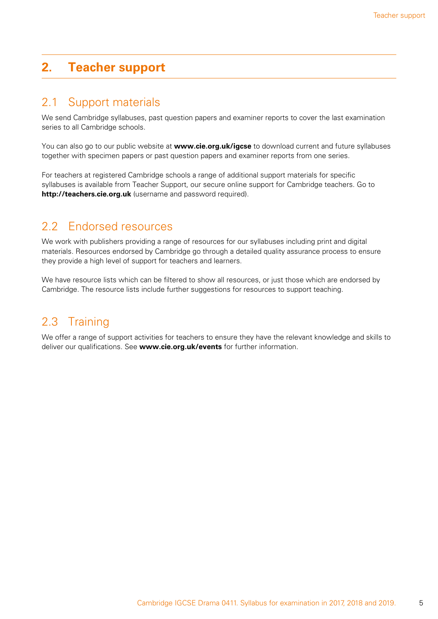# <span id="page-6-0"></span>**2. Teacher support**

# 2.1 Support materials

We send Cambridge syllabuses, past question papers and examiner reports to cover the last examination series to all Cambridge schools.

You can also go to our public website at **www.cie.org.uk/igcse** to download current and future syllabuses together with specimen papers or past question papers and examiner reports from one series.

For teachers at registered Cambridge schools a range of additional support materials for specific syllabuses is available from Teacher Support, our secure online support for Cambridge teachers. Go to **http://teachers.cie.org.uk** (username and password required).

# 2.2 Endorsed resources

We work with publishers providing a range of resources for our syllabuses including print and digital materials. Resources endorsed by Cambridge go through a detailed quality assurance process to ensure they provide a high level of support for teachers and learners.

We have resource lists which can be filtered to show all resources, or just those which are endorsed by Cambridge. The resource lists include further suggestions for resources to support teaching.

# 2.3 Training

We offer a range of support activities for teachers to ensure they have the relevant knowledge and skills to deliver our qualifications. See **www.cie.org.uk/events** for further information.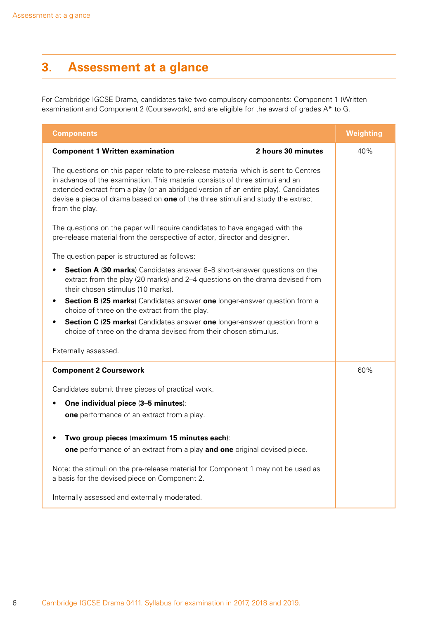# <span id="page-7-0"></span>**3. Assessment at a glance**

For Cambridge IGCSE Drama, candidates take two compulsory components: Component 1 (Written examination) and Component 2 (Coursework), and are eligible for the award of grades A\* to G.

| <b>Components</b>                                                                                                                                                                                                                                                                                                                                                | <b>Weighting</b> |
|------------------------------------------------------------------------------------------------------------------------------------------------------------------------------------------------------------------------------------------------------------------------------------------------------------------------------------------------------------------|------------------|
| <b>Component 1 Written examination</b><br>2 hours 30 minutes                                                                                                                                                                                                                                                                                                     | 40%              |
| The questions on this paper relate to pre-release material which is sent to Centres<br>in advance of the examination. This material consists of three stimuli and an<br>extended extract from a play (or an abridged version of an entire play). Candidates<br>devise a piece of drama based on one of the three stimuli and study the extract<br>from the play. |                  |
| The questions on the paper will require candidates to have engaged with the<br>pre-release material from the perspective of actor, director and designer.                                                                                                                                                                                                        |                  |
| The question paper is structured as follows:                                                                                                                                                                                                                                                                                                                     |                  |
| <b>Section A (30 marks)</b> Candidates answer 6–8 short-answer questions on the<br>$\bullet$<br>extract from the play (20 marks) and 2-4 questions on the drama devised from<br>their chosen stimulus (10 marks).                                                                                                                                                |                  |
| Section B (25 marks) Candidates answer one longer-answer question from a<br>٠<br>choice of three on the extract from the play.                                                                                                                                                                                                                                   |                  |
| Section C (25 marks) Candidates answer one longer-answer question from a<br>٠<br>choice of three on the drama devised from their chosen stimulus.                                                                                                                                                                                                                |                  |
| Externally assessed.                                                                                                                                                                                                                                                                                                                                             |                  |
| <b>Component 2 Coursework</b>                                                                                                                                                                                                                                                                                                                                    | 60%              |
| Candidates submit three pieces of practical work.                                                                                                                                                                                                                                                                                                                |                  |
| One individual piece (3-5 minutes):<br>$\bullet$                                                                                                                                                                                                                                                                                                                 |                  |
| one performance of an extract from a play.                                                                                                                                                                                                                                                                                                                       |                  |
| Two group pieces (maximum 15 minutes each):                                                                                                                                                                                                                                                                                                                      |                  |
| one performance of an extract from a play and one original devised piece.                                                                                                                                                                                                                                                                                        |                  |
| Note: the stimuli on the pre-release material for Component 1 may not be used as<br>a basis for the devised piece on Component 2.                                                                                                                                                                                                                                |                  |
| Internally assessed and externally moderated.                                                                                                                                                                                                                                                                                                                    |                  |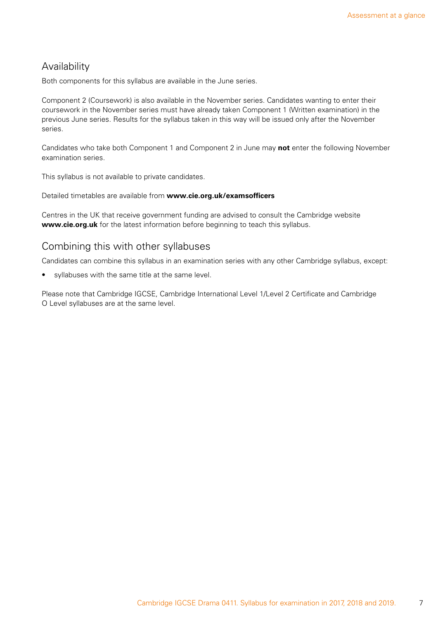### Availability

Both components for this syllabus are available in the June series.

Component 2 (Coursework) is also available in the November series. Candidates wanting to enter their coursework in the November series must have already taken Component 1 (Written examination) in the previous June series. Results for the syllabus taken in this way will be issued only after the November series.

Candidates who take both Component 1 and Component 2 in June may **not** enter the following November examination series.

This syllabus is not available to private candidates.

Detailed timetables are available from **www.cie.org.uk/examsofficers**

Centres in the UK that receive government funding are advised to consult the Cambridge website **www.cie.org.uk** for the latest information before beginning to teach this syllabus.

### Combining this with other syllabuses

Candidates can combine this syllabus in an examination series with any other Cambridge syllabus, except:

• syllabuses with the same title at the same level.

Please note that Cambridge IGCSE, Cambridge International Level 1/Level 2 Certificate and Cambridge O Level syllabuses are at the same level.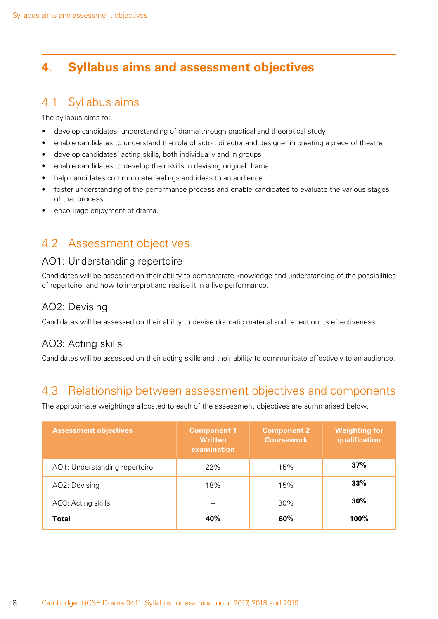# <span id="page-9-0"></span>**4. Syllabus aims and assessment objectives**

## 4.1 Syllabus aims

The syllabus aims to:

- develop candidates' understanding of drama through practical and theoretical study
- enable candidates to understand the role of actor, director and designer in creating a piece of theatre
- develop candidates' acting skills, both individually and in groups
- enable candidates to develop their skills in devising original drama
- help candidates communicate feelings and ideas to an audience
- foster understanding of the performance process and enable candidates to evaluate the various stages of that process
- encourage enjoyment of drama.

# 4.2 Assessment objectives

### AO1: Understanding repertoire

Candidates will be assessed on their ability to demonstrate knowledge and understanding of the possibilities of repertoire, and how to interpret and realise it in a live performance.

### AO2: Devising

Candidates will be assessed on their ability to devise dramatic material and reflect on its effectiveness.

### AO3: Acting skills

Candidates will be assessed on their acting skills and their ability to communicate effectively to an audience.

# 4.3 Relationship between assessment objectives and components

The approximate weightings allocated to each of the assessment objectives are summarised below.

| <b>Assessment objectives</b>  | <b>Component 1</b><br><b>Written</b><br>examination | <b>Component 2</b><br><b>Coursework</b> | <b>Weighting for</b><br>qualification |
|-------------------------------|-----------------------------------------------------|-----------------------------------------|---------------------------------------|
| AO1: Understanding repertoire | 22%                                                 | 15%                                     | 37%                                   |
| AO2: Devising                 | 18%                                                 | 15%                                     | 33%                                   |
| AO3: Acting skills            |                                                     | $30\%$                                  | 30%                                   |
| Total                         | 40%                                                 | 60%                                     | 100%                                  |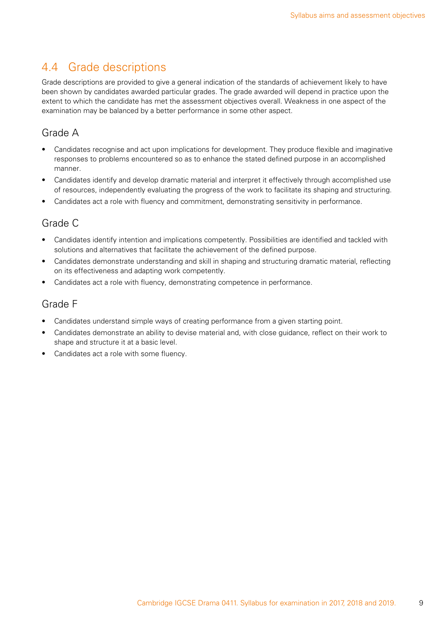# <span id="page-10-0"></span>4.4 Grade descriptions

Grade descriptions are provided to give a general indication of the standards of achievement likely to have been shown by candidates awarded particular grades. The grade awarded will depend in practice upon the extent to which the candidate has met the assessment objectives overall. Weakness in one aspect of the examination may be balanced by a better performance in some other aspect.

### Grade A

- Candidates recognise and act upon implications for development. They produce flexible and imaginative responses to problems encountered so as to enhance the stated defined purpose in an accomplished manner.
- Candidates identify and develop dramatic material and interpret it effectively through accomplished use of resources, independently evaluating the progress of the work to facilitate its shaping and structuring.
- Candidates act a role with fluency and commitment, demonstrating sensitivity in performance.

### Grade C

- Candidates identify intention and implications competently. Possibilities are identified and tackled with solutions and alternatives that facilitate the achievement of the defined purpose.
- Candidates demonstrate understanding and skill in shaping and structuring dramatic material, reflecting on its effectiveness and adapting work competently.
- Candidates act a role with fluency, demonstrating competence in performance.

### Grade F

- Candidates understand simple ways of creating performance from a given starting point.
- Candidates demonstrate an ability to devise material and, with close guidance, reflect on their work to shape and structure it at a basic level.
- Candidates act a role with some fluency.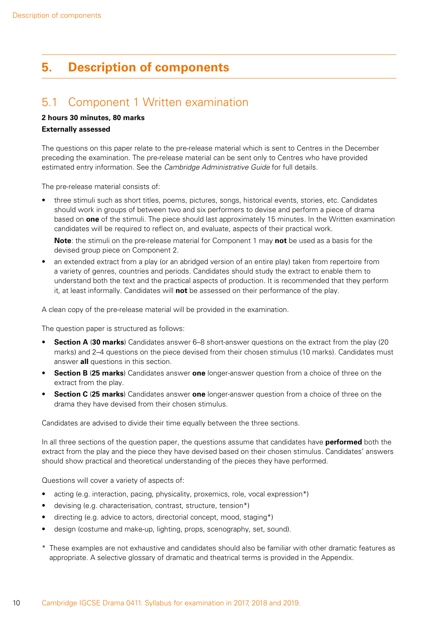# <span id="page-11-0"></span>**5. Description of components**

# 5.1 Component 1 Written examination

### **2 hours 30 minutes, 80 marks**

#### **Externally assessed**

The questions on this paper relate to the pre-release material which is sent to Centres in the December preceding the examination. The pre-release material can be sent only to Centres who have provided estimated entry information. See the *Cambridge Administrative Guide* for full details.

The pre-release material consists of:

• three stimuli such as short titles, poems, pictures, songs, historical events, stories, etc. Candidates should work in groups of between two and six performers to devise and perform a piece of drama based on **one** of the stimuli. The piece should last approximately 15 minutes. In the Written examination candidates will be required to reflect on, and evaluate, aspects of their practical work.

**Note**: the stimuli on the pre-release material for Component 1 may **not** be used as a basis for the devised group piece on Component 2.

• an extended extract from a play (or an abridged version of an entire play) taken from repertoire from a variety of genres, countries and periods. Candidates should study the extract to enable them to understand both the text and the practical aspects of production. It is recommended that they perform it, at least informally. Candidates will **not** be assessed on their performance of the play.

A clean copy of the pre-release material will be provided in the examination.

The question paper is structured as follows:

- **Section A** (**30 marks**) Candidates answer 6–8 short-answer questions on the extract from the play (20 marks) and 2–4 questions on the piece devised from their chosen stimulus (10 marks). Candidates must answer **all** questions in this section.
- **Section B** (**25 marks**) Candidates answer **one** longer-answer question from a choice of three on the extract from the play.
- **Section C** (**25 marks**) Candidates answer **one** longer-answer question from a choice of three on the drama they have devised from their chosen stimulus.

Candidates are advised to divide their time equally between the three sections.

In all three sections of the question paper, the questions assume that candidates have **performed** both the extract from the play and the piece they have devised based on their chosen stimulus. Candidates' answers should show practical and theoretical understanding of the pieces they have performed.

Questions will cover a variety of aspects of:

- acting (e.g. interaction, pacing, physicality, proxemics, role, vocal expression\*)
- devising (e.g. characterisation, contrast, structure, tension\*)
- directing (e.g. advice to actors, directorial concept, mood, staging\*)
- design (costume and make-up, lighting, props, scenography, set, sound).
- \* These examples are not exhaustive and candidates should also be familiar with other dramatic features as appropriate. A selective glossary of dramatic and theatrical terms is provided in the Appendix.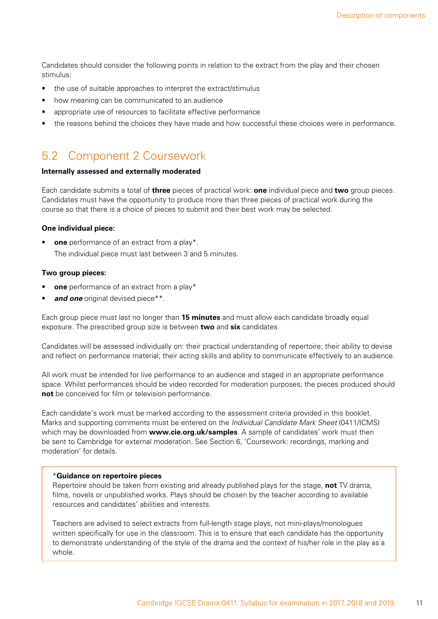<span id="page-12-0"></span>Candidates should consider the following points in relation to the extract from the play and their chosen stimulus:

- the use of suitable approaches to interpret the extract/stimulus
- how meaning can be communicated to an audience
- appropriate use of resources to facilitate effective performance
- the reasons behind the choices they have made and how successful these choices were in performance.

# 5.2 Component 2 Coursework

#### **Internally assessed and externally moderated**

Each candidate submits a total of **three** pieces of practical work: **one** individual piece and **two** group pieces. Candidates must have the opportunity to produce more than three pieces of practical work during the course so that there is a choice of pieces to submit and their best work may be selected.

#### **One individual piece:**

• **one** performance of an extract from a play\*. The individual piece must last between 3 and 5 minutes.

#### **Two group pieces:**

- **one** performance of an extract from a play\*
- and one original devised piece\*\*.

Each group piece must last no longer than **15 minutes** and must allow each candidate broadly equal exposure. The prescribed group size is between **two** and **six** candidates.

Candidates will be assessed individually on: their practical understanding of repertoire; their ability to devise and reflect on performance material; their acting skills and ability to communicate effectively to an audience.

All work must be intended for live performance to an audience and staged in an appropriate performance space. Whilst performances should be video recorded for moderation purposes, the pieces produced should **not** be conceived for film or television performance.

Each candidate's work must be marked according to the assessment criteria provided in this booklet. Marks and supporting comments must be entered on the *Individual Candidate Mark Sheet* (0411/ICMS) which may be downloaded from **www.cie.org.uk/samples**. A sample of candidates' work must then be sent to Cambridge for external moderation. See Section 6, 'Coursework: recordings, marking and moderation' for details.

#### \***Guidance on repertoire pieces**

Repertoire should be taken from existing and already published plays for the stage, **not** TV drama, films, novels or unpublished works. Plays should be chosen by the teacher according to available resources and candidates' abilities and interests.

Teachers are advised to select extracts from full-length stage plays, not mini-plays/monologues written specifically for use in the classroom. This is to ensure that each candidate has the opportunity to demonstrate understanding of the style of the drama and the context of his/her role in the play as a whole.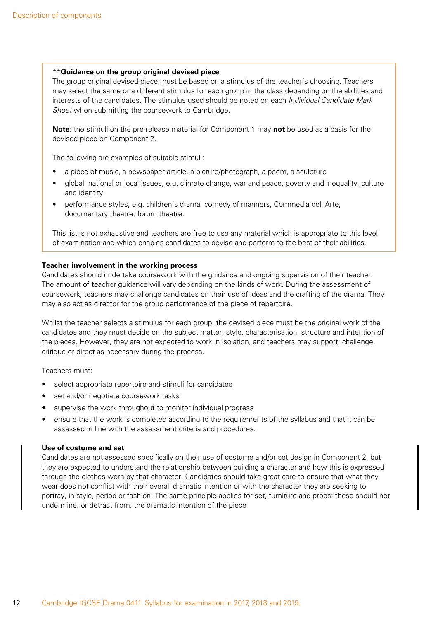#### \*\***Guidance on the group original devised piece**

The group original devised piece must be based on a stimulus of the teacher's choosing. Teachers may select the same or a different stimulus for each group in the class depending on the abilities and interests of the candidates. The stimulus used should be noted on each *Individual Candidate Mark Sheet* when submitting the coursework to Cambridge.

**Note**: the stimuli on the pre-release material for Component 1 may **not** be used as a basis for the devised piece on Component 2.

The following are examples of suitable stimuli:

- a piece of music, a newspaper article, a picture/photograph, a poem, a sculpture
- global, national or local issues, e.g. climate change, war and peace, poverty and inequality, culture and identity
- performance styles, e.g. children's drama, comedy of manners, Commedia dell'Arte, documentary theatre, forum theatre.

This list is not exhaustive and teachers are free to use any material which is appropriate to this level of examination and which enables candidates to devise and perform to the best of their abilities.

#### **Teacher involvement in the working process**

Candidates should undertake coursework with the guidance and ongoing supervision of their teacher. The amount of teacher guidance will vary depending on the kinds of work. During the assessment of coursework, teachers may challenge candidates on their use of ideas and the crafting of the drama. They may also act as director for the group performance of the piece of repertoire.

Whilst the teacher selects a stimulus for each group, the devised piece must be the original work of the candidates and they must decide on the subject matter, style, characterisation, structure and intention of the pieces. However, they are not expected to work in isolation, and teachers may support, challenge, critique or direct as necessary during the process.

Teachers must:

- select appropriate repertoire and stimuli for candidates
- set and/or negotiate coursework tasks
- supervise the work throughout to monitor individual progress
- ensure that the work is completed according to the requirements of the syllabus and that it can be assessed in line with the assessment criteria and procedures.

#### **Use of costume and set**

Candidates are not assessed specifically on their use of costume and/or set design in Component 2, but they are expected to understand the relationship between building a character and how this is expressed through the clothes worn by that character. Candidates should take great care to ensure that what they wear does not conflict with their overall dramatic intention or with the character they are seeking to portray, in style, period or fashion. The same principle applies for set, furniture and props: these should not undermine, or detract from, the dramatic intention of the piece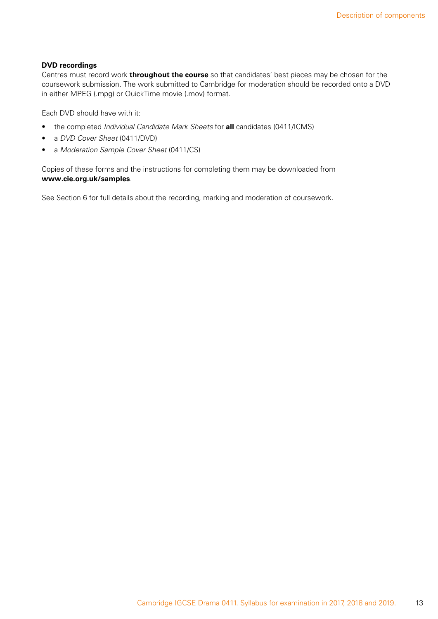#### **DVD recordings**

Centres must record work **throughout the course** so that candidates' best pieces may be chosen for the coursework submission. The work submitted to Cambridge for moderation should be recorded onto a DVD in either MPEG (.mpg) or QuickTime movie (.mov) format.

Each DVD should have with it:

- the completed *Individual Candidate Mark Sheets* for **all** candidates (0411/ICMS)
- a *DVD Cover Sheet* (0411/DVD)
- a *Moderation Sample Cover Sheet* (0411/CS)

Copies of these forms and the instructions for completing them may be downloaded from **www.cie.org.uk/samples**.

See Section 6 for full details about the recording, marking and moderation of coursework.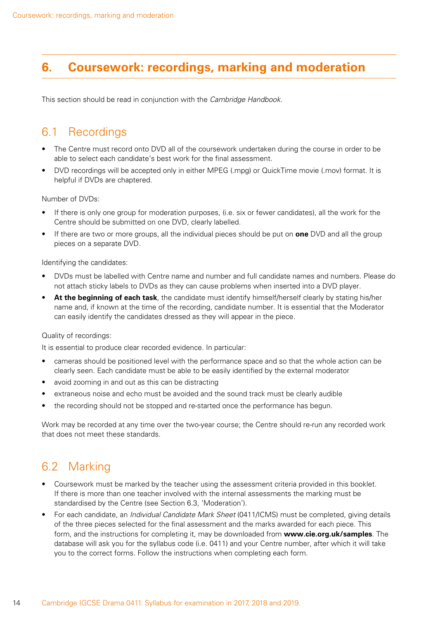# <span id="page-15-0"></span>**6. Coursework: recordings, marking and moderation**

This section should be read in conjunction with the *Cambridge Handbook*.

# 6.1 Recordings

- The Centre must record onto DVD all of the coursework undertaken during the course in order to be able to select each candidate's best work for the final assessment.
- DVD recordings will be accepted only in either MPEG (.mpg) or QuickTime movie (.mov) format. It is helpful if DVDs are chaptered.

Number of DVDs:

- If there is only one group for moderation purposes, (i.e. six or fewer candidates), all the work for the Centre should be submitted on one DVD, clearly labelled.
- If there are two or more groups, all the individual pieces should be put on **one** DVD and all the group pieces on a separate DVD.

Identifying the candidates:

- DVDs must be labelled with Centre name and number and full candidate names and numbers. Please do not attach sticky labels to DVDs as they can cause problems when inserted into a DVD player.
- **At the beginning of each task**, the candidate must identify himself/herself clearly by stating his/her name and, if known at the time of the recording, candidate number. It is essential that the Moderator can easily identify the candidates dressed as they will appear in the piece.

#### Quality of recordings:

It is essential to produce clear recorded evidence. In particular:

- cameras should be positioned level with the performance space and so that the whole action can be clearly seen. Each candidate must be able to be easily identified by the external moderator
- avoid zooming in and out as this can be distracting
- extraneous noise and echo must be avoided and the sound track must be clearly audible
- the recording should not be stopped and re-started once the performance has begun.

Work may be recorded at any time over the two-year course; the Centre should re-run any recorded work that does not meet these standards.

# 6.2 Marking

- Coursework must be marked by the teacher using the assessment criteria provided in this booklet. If there is more than one teacher involved with the internal assessments the marking must be standardised by the Centre (see Section 6.3, 'Moderation').
- For each candidate, an *Individual Candidate Mark Sheet* (0411/ICMS) must be completed, giving details of the three pieces selected for the final assessment and the marks awarded for each piece. This form, and the instructions for completing it, may be downloaded from **www.cie.org.uk/samples**. The database will ask you for the syllabus code (i.e. 0411) and your Centre number, after which it will take you to the correct forms. Follow the instructions when completing each form.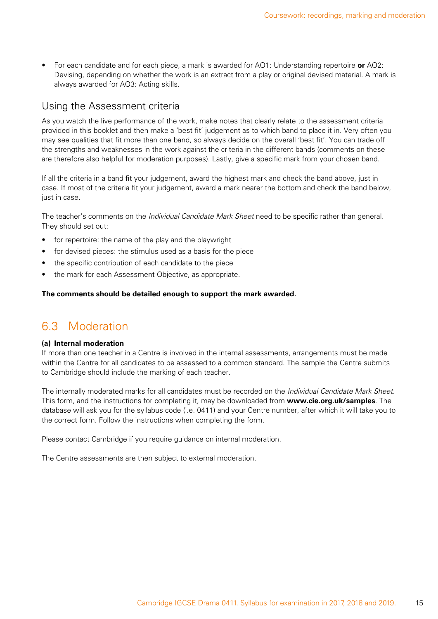<span id="page-16-0"></span>• For each candidate and for each piece, a mark is awarded for AO1: Understanding repertoire **or** AO2: Devising, depending on whether the work is an extract from a play or original devised material. A mark is always awarded for AO3: Acting skills.

### Using the Assessment criteria

As you watch the live performance of the work, make notes that clearly relate to the assessment criteria provided in this booklet and then make a 'best fit' judgement as to which band to place it in. Very often you may see qualities that fit more than one band, so always decide on the overall 'best fit'. You can trade off the strengths and weaknesses in the work against the criteria in the different bands (comments on these are therefore also helpful for moderation purposes). Lastly, give a specific mark from your chosen band.

If all the criteria in a band fit your judgement, award the highest mark and check the band above, just in case. If most of the criteria fit your judgement, award a mark nearer the bottom and check the band below, just in case.

The teacher's comments on the *Individual Candidate Mark Sheet* need to be specific rather than general. They should set out:

- for repertoire: the name of the play and the playwright
- for devised pieces: the stimulus used as a basis for the piece
- the specific contribution of each candidate to the piece
- the mark for each Assessment Objective, as appropriate.

#### **The comments should be detailed enough to support the mark awarded.**

# 6.3 Moderation

#### **(a) Internal moderation**

If more than one teacher in a Centre is involved in the internal assessments, arrangements must be made within the Centre for all candidates to be assessed to a common standard. The sample the Centre submits to Cambridge should include the marking of each teacher.

The internally moderated marks for all candidates must be recorded on the *Individual Candidate Mark Sheet*. This form, and the instructions for completing it, may be downloaded from **www.cie.org.uk/samples**. The database will ask you for the syllabus code (i.e. 0411) and your Centre number, after which it will take you to the correct form. Follow the instructions when completing the form.

Please contact Cambridge if you require quidance on internal moderation.

The Centre assessments are then subject to external moderation.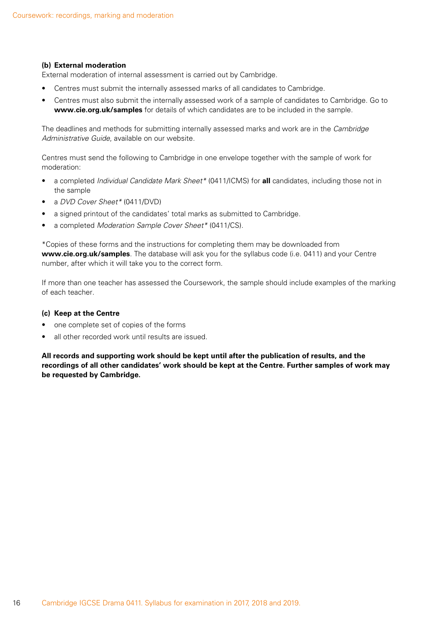#### **(b) External moderation**

External moderation of internal assessment is carried out by Cambridge.

- Centres must submit the internally assessed marks of all candidates to Cambridge.
- Centres must also submit the internally assessed work of a sample of candidates to Cambridge. Go to **www.cie.org.uk/samples** for details of which candidates are to be included in the sample.

The deadlines and methods for submitting internally assessed marks and work are in the *Cambridge Administrative Guide*, available on our website.

Centres must send the following to Cambridge in one envelope together with the sample of work for moderation:

- a completed *Individual Candidate Mark Sheet\** (0411/ICMS) for **all** candidates, including those not in the sample
- a *DVD Cover Sheet\** (0411/DVD)
- a signed printout of the candidates' total marks as submitted to Cambridge.
- a completed *Moderation Sample Cover Sheet\** (0411/CS).

\*Copies of these forms and the instructions for completing them may be downloaded from **www.cie.org.uk/samples**. The database will ask you for the syllabus code (i.e. 0411) and your Centre number, after which it will take you to the correct form.

If more than one teacher has assessed the Coursework, the sample should include examples of the marking of each teacher.

#### **(c) Keep at the Centre**

- one complete set of copies of the forms
- all other recorded work until results are issued.

**All records and supporting work should be kept until after the publication of results, and the recordings of all other candidates' work should be kept at the Centre. Further samples of work may be requested by Cambridge.**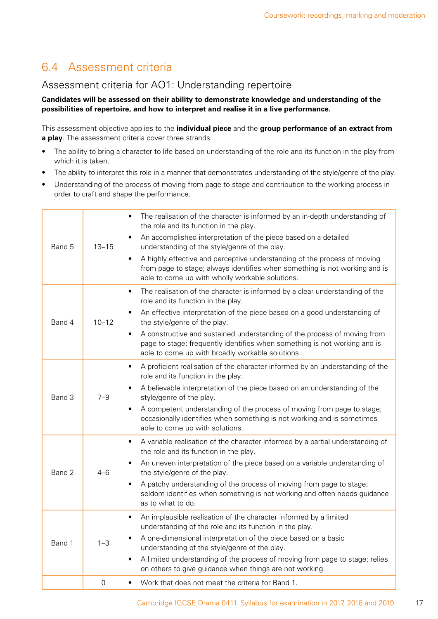# <span id="page-18-0"></span>6.4 Assessment criteria

### Assessment criteria for AO1: Understanding repertoire

#### **Candidates will be assessed on their ability to demonstrate knowledge and understanding of the possibilities of repertoire, and how to interpret and realise it in a live performance.**

This assessment objective applies to the **individual piece** and the **group performance of an extract from a play**. The assessment criteria cover three strands:

- The ability to bring a character to life based on understanding of the role and its function in the play from which it is taken.
- The ability to interpret this role in a manner that demonstrates understanding of the style/genre of the play.
- Understanding of the process of moving from page to stage and contribution to the working process in order to craft and shape the performance.

| Band 5 | $13 - 15$   | The realisation of the character is informed by an in-depth understanding of<br>$\bullet$<br>the role and its function in the play.<br>An accomplished interpretation of the piece based on a detailed<br>$\bullet$<br>understanding of the style/genre of the play.<br>A highly effective and perceptive understanding of the process of moving<br>$\bullet$<br>from page to stage; always identifies when something is not working and is<br>able to come up with wholly workable solutions. |
|--------|-------------|------------------------------------------------------------------------------------------------------------------------------------------------------------------------------------------------------------------------------------------------------------------------------------------------------------------------------------------------------------------------------------------------------------------------------------------------------------------------------------------------|
| Band 4 | $10 - 12$   | The realisation of the character is informed by a clear understanding of the<br>$\bullet$<br>role and its function in the play.<br>An effective interpretation of the piece based on a good understanding of<br>$\bullet$<br>the style/genre of the play.<br>A constructive and sustained understanding of the process of moving from<br>$\bullet$<br>page to stage; frequently identifies when something is not working and is<br>able to come up with broadly workable solutions.            |
| Band 3 | $7 - 9$     | A proficient realisation of the character informed by an understanding of the<br>$\bullet$<br>role and its function in the play.<br>A believable interpretation of the piece based on an understanding of the<br>$\bullet$<br>style/genre of the play.<br>A competent understanding of the process of moving from page to stage;<br>$\bullet$<br>occasionally identifies when something is not working and is sometimes<br>able to come up with solutions.                                     |
| Band 2 | $4 - 6$     | A variable realisation of the character informed by a partial understanding of<br>$\bullet$<br>the role and its function in the play.<br>An uneven interpretation of the piece based on a variable understanding of<br>$\bullet$<br>the style/genre of the play.<br>A patchy understanding of the process of moving from page to stage;<br>$\bullet$<br>seldom identifies when something is not working and often needs guidance<br>as to what to do.                                          |
| Band 1 | $1 - 3$     | An implausible realisation of the character informed by a limited<br>$\bullet$<br>understanding of the role and its function in the play.<br>A one-dimensional interpretation of the piece based on a basic<br>$\bullet$<br>understanding of the style/genre of the play.<br>A limited understanding of the process of moving from page to stage; relies<br>$\bullet$<br>on others to give guidance when things are not working.                                                               |
|        | $\mathbf 0$ | Work that does not meet the criteria for Band 1.<br>$\bullet$                                                                                                                                                                                                                                                                                                                                                                                                                                  |
|        |             |                                                                                                                                                                                                                                                                                                                                                                                                                                                                                                |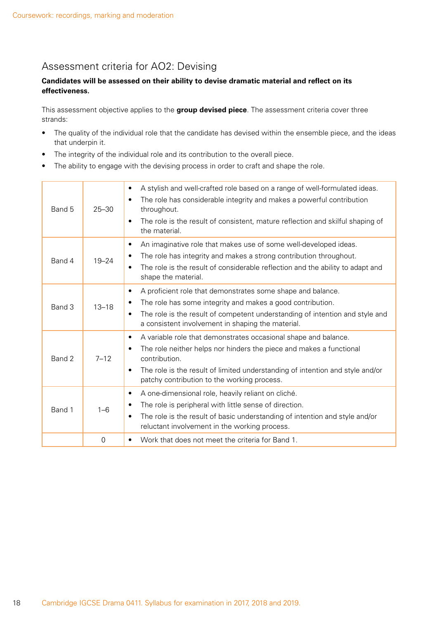### Assessment criteria for AO2: Devising

#### **Candidates will be assessed on their ability to devise dramatic material and reflect on its effectiveness.**

This assessment objective applies to the **group devised piece**. The assessment criteria cover three strands:

- The quality of the individual role that the candidate has devised within the ensemble piece, and the ideas that underpin it.
- The integrity of the individual role and its contribution to the overall piece.
- The ability to engage with the devising process in order to craft and shape the role.

| Band 5 | $25 - 30$ | A stylish and well-crafted role based on a range of well-formulated ideas.<br>$\bullet$<br>The role has considerable integrity and makes a powerful contribution<br>$\bullet$<br>throughout.<br>The role is the result of consistent, mature reflection and skilful shaping of<br>$\bullet$<br>the material.                   |
|--------|-----------|--------------------------------------------------------------------------------------------------------------------------------------------------------------------------------------------------------------------------------------------------------------------------------------------------------------------------------|
| Band 4 | $19 - 24$ | An imaginative role that makes use of some well-developed ideas.<br>٠<br>The role has integrity and makes a strong contribution throughout.<br>٠<br>The role is the result of considerable reflection and the ability to adapt and<br>$\bullet$<br>shape the material.                                                         |
| Band 3 | $13 - 18$ | A proficient role that demonstrates some shape and balance.<br>$\bullet$<br>The role has some integrity and makes a good contribution.<br>٠<br>The role is the result of competent understanding of intention and style and<br>$\bullet$<br>a consistent involvement in shaping the material.                                  |
| Band 2 | $7 - 12$  | A variable role that demonstrates occasional shape and balance.<br>$\bullet$<br>The role neither helps nor hinders the piece and makes a functional<br>$\bullet$<br>contribution.<br>The role is the result of limited understanding of intention and style and/or<br>$\bullet$<br>patchy contribution to the working process. |
| Band 1 | $1 - 6$   | A one-dimensional role, heavily reliant on cliché.<br>$\bullet$<br>The role is peripheral with little sense of direction.<br>٠<br>The role is the result of basic understanding of intention and style and/or<br>$\bullet$<br>reluctant involvement in the working process.                                                    |
|        | $\Omega$  | Work that does not meet the criteria for Band 1.<br>$\bullet$                                                                                                                                                                                                                                                                  |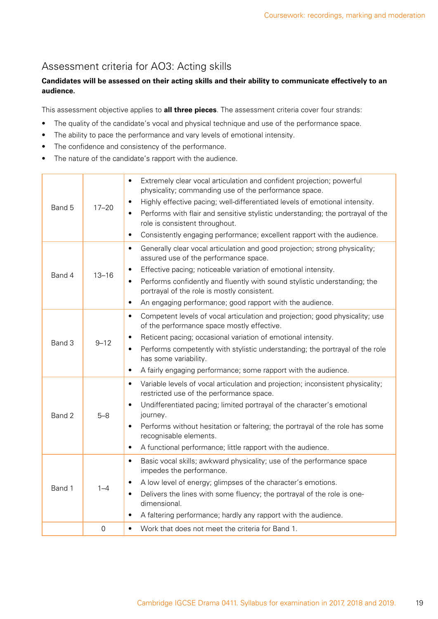### Assessment criteria for AO3: Acting skills

#### **Candidates will be assessed on their acting skills and their ability to communicate effectively to an audience.**

This assessment objective applies to **all three pieces**. The assessment criteria cover four strands:

- The quality of the candidate's vocal and physical technique and use of the performance space.
- The ability to pace the performance and vary levels of emotional intensity.
- The confidence and consistency of the performance.
- The nature of the candidate's rapport with the audience.

| Band 5 | $17 - 20$   | Extremely clear vocal articulation and confident projection; powerful<br>$\bullet$<br>physicality; commanding use of the performance space.<br>Highly effective pacing; well-differentiated levels of emotional intensity.<br>$\bullet$<br>Performs with flair and sensitive stylistic understanding; the portrayal of the<br>$\bullet$<br>role is consistent throughout.<br>Consistently engaging performance; excellent rapport with the audience.<br>$\bullet$ |
|--------|-------------|-------------------------------------------------------------------------------------------------------------------------------------------------------------------------------------------------------------------------------------------------------------------------------------------------------------------------------------------------------------------------------------------------------------------------------------------------------------------|
| Band 4 | $13 - 16$   | Generally clear vocal articulation and good projection; strong physicality;<br>$\bullet$<br>assured use of the performance space.<br>Effective pacing; noticeable variation of emotional intensity.<br>Performs confidently and fluently with sound stylistic understanding; the<br>$\bullet$<br>portrayal of the role is mostly consistent.<br>An engaging performance; good rapport with the audience.<br>$\bullet$                                             |
| Band 3 | $9 - 12$    | Competent levels of vocal articulation and projection; good physicality; use<br>$\bullet$<br>of the performance space mostly effective.<br>Reticent pacing; occasional variation of emotional intensity.<br>Performs competently with stylistic understanding; the portrayal of the role<br>$\bullet$<br>has some variability.<br>A fairly engaging performance; some rapport with the audience.<br>$\bullet$                                                     |
| Band 2 | $5 - 8$     | Variable levels of vocal articulation and projection; inconsistent physicality;<br>$\bullet$<br>restricted use of the performance space.<br>Undifferentiated pacing; limited portrayal of the character's emotional<br>$\bullet$<br>journey.<br>Performs without hesitation or faltering; the portrayal of the role has some<br>$\bullet$<br>recognisable elements.<br>A functional performance; little rapport with the audience.<br>$\bullet$                   |
| Band 1 | $1 - 4$     | Basic vocal skills; awkward physicality; use of the performance space<br>$\bullet$<br>impedes the performance.<br>A low level of energy; glimpses of the character's emotions.<br>$\bullet$<br>Delivers the lines with some fluency; the portrayal of the role is one-<br>$\bullet$<br>dimensional.<br>A faltering performance; hardly any rapport with the audience.<br>$\bullet$                                                                                |
|        | $\mathbf 0$ | Work that does not meet the criteria for Band 1.<br>$\bullet$                                                                                                                                                                                                                                                                                                                                                                                                     |
|        |             |                                                                                                                                                                                                                                                                                                                                                                                                                                                                   |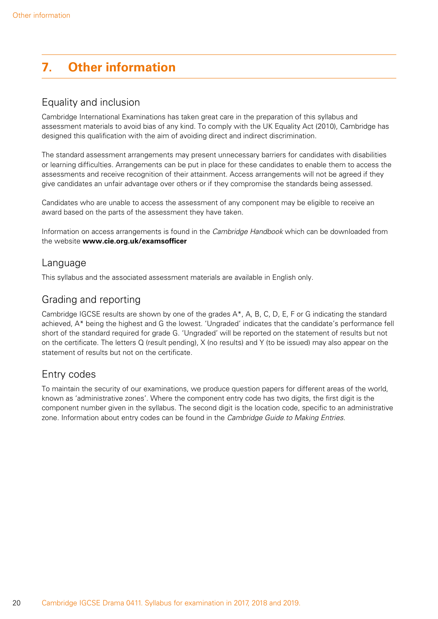# <span id="page-21-0"></span>**7. Other information**

### Equality and inclusion

Cambridge International Examinations has taken great care in the preparation of this syllabus and assessment materials to avoid bias of any kind. To comply with the UK Equality Act (2010), Cambridge has designed this qualification with the aim of avoiding direct and indirect discrimination.

The standard assessment arrangements may present unnecessary barriers for candidates with disabilities or learning difficulties. Arrangements can be put in place for these candidates to enable them to access the assessments and receive recognition of their attainment. Access arrangements will not be agreed if they give candidates an unfair advantage over others or if they compromise the standards being assessed.

Candidates who are unable to access the assessment of any component may be eligible to receive an award based on the parts of the assessment they have taken.

Information on access arrangements is found in the *Cambridge Handbook* which can be downloaded from the website **www.cie.org.uk/examsofficer**

### Language

This syllabus and the associated assessment materials are available in English only.

### Grading and reporting

Cambridge IGCSE results are shown by one of the grades A\*, A, B, C, D, E, F or G indicating the standard achieved, A\* being the highest and G the lowest. 'Ungraded' indicates that the candidate's performance fell short of the standard required for grade G. 'Ungraded' will be reported on the statement of results but not on the certificate. The letters Q (result pending), X (no results) and Y (to be issued) may also appear on the statement of results but not on the certificate.

### Entry codes

To maintain the security of our examinations, we produce question papers for different areas of the world, known as 'administrative zones'. Where the component entry code has two digits, the first digit is the component number given in the syllabus. The second digit is the location code, specific to an administrative zone. Information about entry codes can be found in the *Cambridge Guide to Making Entries*.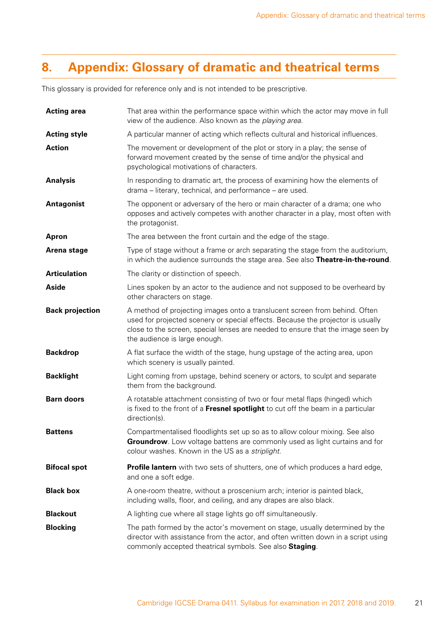# <span id="page-22-0"></span>**8. Appendix: Glossary of dramatic and theatrical terms**

This glossary is provided for reference only and is not intended to be prescriptive.

| <b>Acting area</b>     | That area within the performance space within which the actor may move in full<br>view of the audience. Also known as the playing area.                                                                                                                                           |
|------------------------|-----------------------------------------------------------------------------------------------------------------------------------------------------------------------------------------------------------------------------------------------------------------------------------|
| <b>Acting style</b>    | A particular manner of acting which reflects cultural and historical influences.                                                                                                                                                                                                  |
| <b>Action</b>          | The movement or development of the plot or story in a play; the sense of<br>forward movement created by the sense of time and/or the physical and<br>psychological motivations of characters.                                                                                     |
| <b>Analysis</b>        | In responding to dramatic art, the process of examining how the elements of<br>drama – literary, technical, and performance – are used.                                                                                                                                           |
| <b>Antagonist</b>      | The opponent or adversary of the hero or main character of a drama; one who<br>opposes and actively competes with another character in a play, most often with<br>the protagonist.                                                                                                |
| <b>Apron</b>           | The area between the front curtain and the edge of the stage.                                                                                                                                                                                                                     |
| Arena stage            | Type of stage without a frame or arch separating the stage from the auditorium,<br>in which the audience surrounds the stage area. See also Theatre-in-the-round.                                                                                                                 |
| <b>Articulation</b>    | The clarity or distinction of speech.                                                                                                                                                                                                                                             |
| <b>Aside</b>           | Lines spoken by an actor to the audience and not supposed to be overheard by<br>other characters on stage.                                                                                                                                                                        |
| <b>Back projection</b> | A method of projecting images onto a translucent screen from behind. Often<br>used for projected scenery or special effects. Because the projector is usually<br>close to the screen, special lenses are needed to ensure that the image seen by<br>the audience is large enough. |
| <b>Backdrop</b>        | A flat surface the width of the stage, hung upstage of the acting area, upon<br>which scenery is usually painted.                                                                                                                                                                 |
| <b>Backlight</b>       | Light coming from upstage, behind scenery or actors, to sculpt and separate<br>them from the background.                                                                                                                                                                          |
| <b>Barn doors</b>      | A rotatable attachment consisting of two or four metal flaps (hinged) which<br>is fixed to the front of a Fresnel spotlight to cut off the beam in a particular<br>direction(s).                                                                                                  |
| <b>Battens</b>         | Compartmentalised floodlights set up so as to allow colour mixing. See also<br>Groundrow. Low voltage battens are commonly used as light curtains and for<br>colour washes. Known in the US as a striplight.                                                                      |
| <b>Bifocal spot</b>    | <b>Profile lantern</b> with two sets of shutters, one of which produces a hard edge,<br>and one a soft edge.                                                                                                                                                                      |
| <b>Black box</b>       | A one-room theatre, without a proscenium arch; interior is painted black,<br>including walls, floor, and ceiling, and any drapes are also black.                                                                                                                                  |
| <b>Blackout</b>        | A lighting cue where all stage lights go off simultaneously.                                                                                                                                                                                                                      |
| <b>Blocking</b>        | The path formed by the actor's movement on stage, usually determined by the<br>director with assistance from the actor, and often written down in a script using<br>commonly accepted theatrical symbols. See also Staging.                                                       |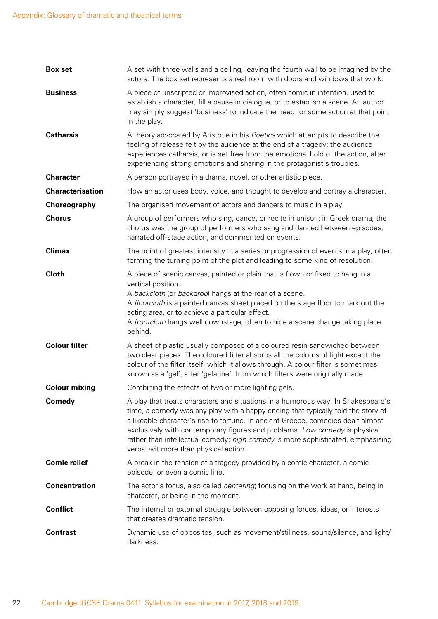| <b>Box set</b>          | A set with three walls and a ceiling, leaving the fourth wall to be imagined by the<br>actors. The box set represents a real room with doors and windows that work.                                                                                                                                                                                                                                                                                                |
|-------------------------|--------------------------------------------------------------------------------------------------------------------------------------------------------------------------------------------------------------------------------------------------------------------------------------------------------------------------------------------------------------------------------------------------------------------------------------------------------------------|
| <b>Business</b>         | A piece of unscripted or improvised action, often comic in intention, used to<br>establish a character, fill a pause in dialogue, or to establish a scene. An author<br>may simply suggest 'business' to indicate the need for some action at that point<br>in the play.                                                                                                                                                                                           |
| <b>Catharsis</b>        | A theory advocated by Aristotle in his Poetics which attempts to describe the<br>feeling of release felt by the audience at the end of a tragedy; the audience<br>experiences catharsis, or is set free from the emotional hold of the action, after<br>experiencing strong emotions and sharing in the protagonist's troubles.                                                                                                                                    |
| <b>Character</b>        | A person portrayed in a drama, novel, or other artistic piece.                                                                                                                                                                                                                                                                                                                                                                                                     |
| <b>Characterisation</b> | How an actor uses body, voice, and thought to develop and portray a character.                                                                                                                                                                                                                                                                                                                                                                                     |
| Choreography            | The organised movement of actors and dancers to music in a play.                                                                                                                                                                                                                                                                                                                                                                                                   |
| <b>Chorus</b>           | A group of performers who sing, dance, or recite in unison; in Greek drama, the<br>chorus was the group of performers who sang and danced between episodes,<br>narrated off-stage action, and commented on events.                                                                                                                                                                                                                                                 |
| <b>Climax</b>           | The point of greatest intensity in a series or progression of events in a play, often<br>forming the turning point of the plot and leading to some kind of resolution.                                                                                                                                                                                                                                                                                             |
| <b>Cloth</b>            | A piece of scenic canvas, painted or plain that is flown or fixed to hang in a<br>vertical position.<br>A backcloth (or backdrop) hangs at the rear of a scene.<br>A floorcloth is a painted canvas sheet placed on the stage floor to mark out the<br>acting area, or to achieve a particular effect.<br>A frontcloth hangs well downstage, often to hide a scene change taking place<br>behind.                                                                  |
| <b>Colour filter</b>    | A sheet of plastic usually composed of a coloured resin sandwiched between<br>two clear pieces. The coloured filter absorbs all the colours of light except the<br>colour of the filter itself, which it allows through. A colour filter is sometimes<br>known as a 'gel', after 'gelatine', from which filters were originally made.                                                                                                                              |
| <b>Colour mixing</b>    | Combining the effects of two or more lighting gels.                                                                                                                                                                                                                                                                                                                                                                                                                |
| Comedy                  | A play that treats characters and situations in a humorous way. In Shakespeare's<br>time, a comedy was any play with a happy ending that typically told the story of<br>a likeable character's rise to fortune. In ancient Greece, comedies dealt almost<br>exclusively with contemporary figures and problems. Low comedy is physical<br>rather than intellectual comedy; high comedy is more sophisticated, emphasising<br>verbal wit more than physical action. |
| <b>Comic relief</b>     | A break in the tension of a tragedy provided by a comic character, a comic<br>episode, or even a comic line.                                                                                                                                                                                                                                                                                                                                                       |
| <b>Concentration</b>    | The actor's focus, also called <i>centering</i> ; focusing on the work at hand, being in<br>character, or being in the moment.                                                                                                                                                                                                                                                                                                                                     |
| <b>Conflict</b>         | The internal or external struggle between opposing forces, ideas, or interests<br>that creates dramatic tension.                                                                                                                                                                                                                                                                                                                                                   |
| <b>Contrast</b>         | Dynamic use of opposites, such as movement/stillness, sound/silence, and light/<br>darkness.                                                                                                                                                                                                                                                                                                                                                                       |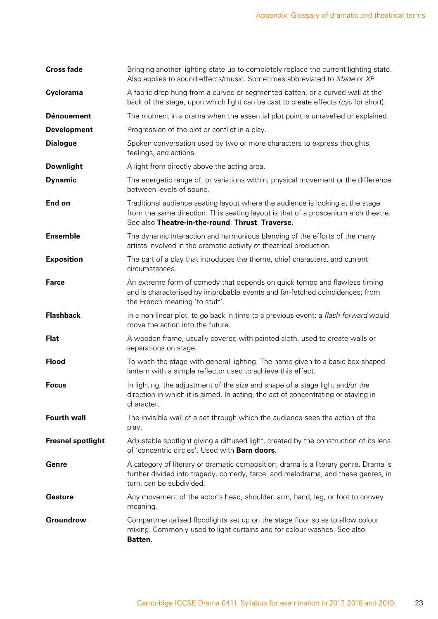| <b>Cross fade</b>        | Bringing another lighting state up to completely replace the current lighting state.<br>Also applies to sound effects/music. Sometimes abbreviated to Xfade or XF.                                                       |
|--------------------------|--------------------------------------------------------------------------------------------------------------------------------------------------------------------------------------------------------------------------|
| Cyclorama                | A fabric drop hung from a curved or segmented batten, or a curved wall at the<br>back of the stage, upon which light can be cast to create effects (cyc for short).                                                      |
| <b>Dénouement</b>        | The moment in a drama when the essential plot point is unravelled or explained.                                                                                                                                          |
| <b>Development</b>       | Progression of the plot or conflict in a play.                                                                                                                                                                           |
| <b>Dialogue</b>          | Spoken conversation used by two or more characters to express thoughts,<br>feelings, and actions.                                                                                                                        |
| <b>Downlight</b>         | A light from directly above the acting area.                                                                                                                                                                             |
| <b>Dynamic</b>           | The energetic range of, or variations within, physical movement or the difference<br>between levels of sound.                                                                                                            |
| End on                   | Traditional audience seating layout where the audience is looking at the stage<br>from the same direction. This seating layout is that of a proscenium arch theatre.<br>See also Theatre-in-the-round, Thrust, Traverse. |
| <b>Ensemble</b>          | The dynamic interaction and harmonious blending of the efforts of the many<br>artists involved in the dramatic activity of theatrical production.                                                                        |
| <b>Exposition</b>        | The part of a play that introduces the theme, chief characters, and current<br>circumstances.                                                                                                                            |
| <b>Farce</b>             | An extreme form of comedy that depends on quick tempo and flawless timing<br>and is characterised by improbable events and far-fetched coincidences; from<br>the French meaning 'to stuff'.                              |
| <b>Flashback</b>         | In a non-linear plot, to go back in time to a previous event; a flash forward would<br>move the action into the future.                                                                                                  |
| <b>Flat</b>              | A wooden frame, usually covered with painted cloth, used to create walls or<br>separations on stage.                                                                                                                     |
| <b>Flood</b>             | To wash the stage with general lighting. The name given to a basic box-shaped<br>lantern with a simple reflector used to achieve this effect.                                                                            |
| <b>Focus</b>             | In lighting, the adjustment of the size and shape of a stage light and/or the<br>direction in which it is aimed. In acting, the act of concentrating or staying in<br>character.                                         |
| <b>Fourth wall</b>       | The invisible wall of a set through which the audience sees the action of the<br>play.                                                                                                                                   |
| <b>Fresnel spotlight</b> | Adjustable spotlight giving a diffused light, created by the construction of its lens<br>of 'concentric circles'. Used with Barn doors.                                                                                  |
| Genre                    | A category of literary or dramatic composition; drama is a literary genre. Drama is<br>further divided into tragedy, comedy, farce, and melodrama, and these genres, in<br>turn, can be subdivided.                      |
| <b>Gesture</b>           | Any movement of the actor's head, shoulder, arm, hand, leg, or foot to convey<br>meaning.                                                                                                                                |
| Groundrow                | Compartmentalised floodlights set up on the stage floor so as to allow colour<br>mixing. Commonly used to light curtains and for colour washes. See also<br>Batten.                                                      |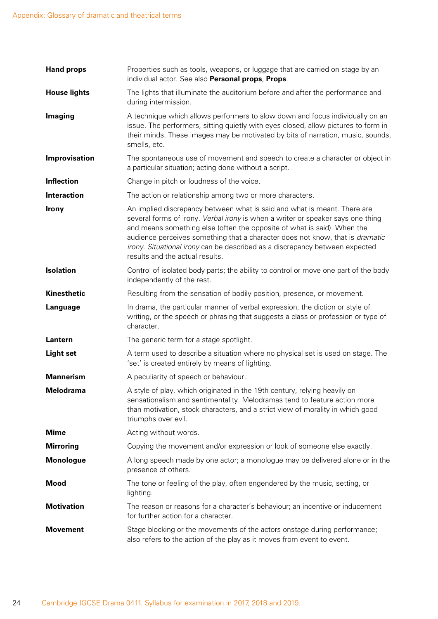| <b>Hand props</b>   | Properties such as tools, weapons, or luggage that are carried on stage by an<br>individual actor. See also Personal props, Props.                                                                                                                                                                                                                                                                                                        |
|---------------------|-------------------------------------------------------------------------------------------------------------------------------------------------------------------------------------------------------------------------------------------------------------------------------------------------------------------------------------------------------------------------------------------------------------------------------------------|
| <b>House lights</b> | The lights that illuminate the auditorium before and after the performance and<br>during intermission.                                                                                                                                                                                                                                                                                                                                    |
| <b>Imaging</b>      | A technique which allows performers to slow down and focus individually on an<br>issue. The performers, sitting quietly with eyes closed, allow pictures to form in<br>their minds. These images may be motivated by bits of narration, music, sounds,<br>smells, etc.                                                                                                                                                                    |
| Improvisation       | The spontaneous use of movement and speech to create a character or object in<br>a particular situation; acting done without a script.                                                                                                                                                                                                                                                                                                    |
| <b>Inflection</b>   | Change in pitch or loudness of the voice.                                                                                                                                                                                                                                                                                                                                                                                                 |
| <b>Interaction</b>  | The action or relationship among two or more characters.                                                                                                                                                                                                                                                                                                                                                                                  |
| <b>Irony</b>        | An implied discrepancy between what is said and what is meant. There are<br>several forms of irony. Verbal irony is when a writer or speaker says one thing<br>and means something else (often the opposite of what is said). When the<br>audience perceives something that a character does not know, that is dramatic<br>irony. Situational irony can be described as a discrepancy between expected<br>results and the actual results. |
| <b>Isolation</b>    | Control of isolated body parts; the ability to control or move one part of the body<br>independently of the rest.                                                                                                                                                                                                                                                                                                                         |
| <b>Kinesthetic</b>  | Resulting from the sensation of bodily position, presence, or movement.                                                                                                                                                                                                                                                                                                                                                                   |
| Language            | In drama, the particular manner of verbal expression, the diction or style of<br>writing, or the speech or phrasing that suggests a class or profession or type of<br>character.                                                                                                                                                                                                                                                          |
| Lantern             | The generic term for a stage spotlight.                                                                                                                                                                                                                                                                                                                                                                                                   |
| <b>Light set</b>    | A term used to describe a situation where no physical set is used on stage. The<br>'set' is created entirely by means of lighting.                                                                                                                                                                                                                                                                                                        |
| <b>Mannerism</b>    | A peculiarity of speech or behaviour.                                                                                                                                                                                                                                                                                                                                                                                                     |
| Melodrama           | A style of play, which originated in the 19th century, relying heavily on<br>sensationalism and sentimentality. Melodramas tend to feature action more<br>than motivation, stock characters, and a strict view of morality in which good<br>triumphs over evil.                                                                                                                                                                           |
| <b>Mime</b>         | Acting without words.                                                                                                                                                                                                                                                                                                                                                                                                                     |
| <b>Mirroring</b>    | Copying the movement and/or expression or look of someone else exactly.                                                                                                                                                                                                                                                                                                                                                                   |
| <b>Monologue</b>    | A long speech made by one actor; a monologue may be delivered alone or in the<br>presence of others.                                                                                                                                                                                                                                                                                                                                      |
| <b>Mood</b>         | The tone or feeling of the play, often engendered by the music, setting, or<br>lighting.                                                                                                                                                                                                                                                                                                                                                  |
| <b>Motivation</b>   | The reason or reasons for a character's behaviour; an incentive or inducement<br>for further action for a character.                                                                                                                                                                                                                                                                                                                      |
| <b>Movement</b>     | Stage blocking or the movements of the actors onstage during performance;<br>also refers to the action of the play as it moves from event to event.                                                                                                                                                                                                                                                                                       |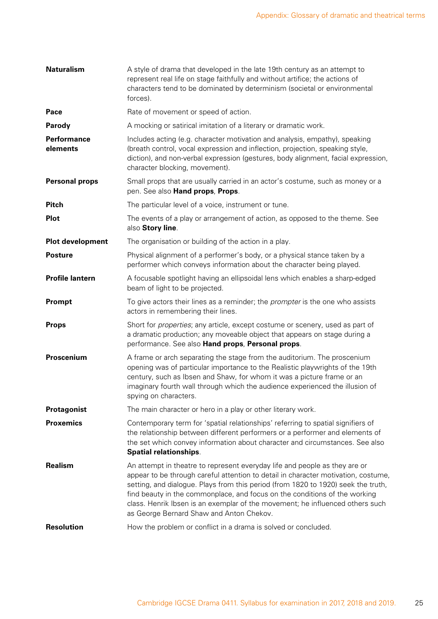| <b>Naturalism</b>              | A style of drama that developed in the late 19th century as an attempt to<br>represent real life on stage faithfully and without artifice; the actions of<br>characters tend to be dominated by determinism (societal or environmental<br>forces).                                                                                                                                                                                                               |
|--------------------------------|------------------------------------------------------------------------------------------------------------------------------------------------------------------------------------------------------------------------------------------------------------------------------------------------------------------------------------------------------------------------------------------------------------------------------------------------------------------|
| Pace                           | Rate of movement or speed of action.                                                                                                                                                                                                                                                                                                                                                                                                                             |
| Parody                         | A mocking or satirical imitation of a literary or dramatic work.                                                                                                                                                                                                                                                                                                                                                                                                 |
| <b>Performance</b><br>elements | Includes acting (e.g. character motivation and analysis, empathy), speaking<br>(breath control, vocal expression and inflection, projection, speaking style,<br>diction), and non-verbal expression (gestures, body alignment, facial expression,<br>character blocking, movement).                                                                                                                                                                              |
| <b>Personal props</b>          | Small props that are usually carried in an actor's costume, such as money or a<br>pen. See also Hand props, Props.                                                                                                                                                                                                                                                                                                                                               |
| <b>Pitch</b>                   | The particular level of a voice, instrument or tune.                                                                                                                                                                                                                                                                                                                                                                                                             |
| <b>Plot</b>                    | The events of a play or arrangement of action, as opposed to the theme. See<br>also Story line.                                                                                                                                                                                                                                                                                                                                                                  |
| <b>Plot development</b>        | The organisation or building of the action in a play.                                                                                                                                                                                                                                                                                                                                                                                                            |
| <b>Posture</b>                 | Physical alignment of a performer's body, or a physical stance taken by a<br>performer which conveys information about the character being played.                                                                                                                                                                                                                                                                                                               |
| <b>Profile lantern</b>         | A focusable spotlight having an ellipsoidal lens which enables a sharp-edged<br>beam of light to be projected.                                                                                                                                                                                                                                                                                                                                                   |
| Prompt                         | To give actors their lines as a reminder; the <i>prompter</i> is the one who assists<br>actors in remembering their lines.                                                                                                                                                                                                                                                                                                                                       |
| <b>Props</b>                   | Short for properties; any article, except costume or scenery, used as part of<br>a dramatic production; any moveable object that appears on stage during a<br>performance. See also Hand props, Personal props.                                                                                                                                                                                                                                                  |
| Proscenium                     | A frame or arch separating the stage from the auditorium. The proscenium<br>opening was of particular importance to the Realistic playwrights of the 19th<br>century, such as Ibsen and Shaw, for whom it was a picture frame or an<br>imaginary fourth wall through which the audience experienced the illusion of<br>spying on characters.                                                                                                                     |
| Protagonist                    | The main character or hero in a play or other literary work.                                                                                                                                                                                                                                                                                                                                                                                                     |
| <b>Proxemics</b>               | Contemporary term for 'spatial relationships' referring to spatial signifiers of<br>the relationship between different performers or a performer and elements of<br>the set which convey information about character and circumstances. See also<br><b>Spatial relationships.</b>                                                                                                                                                                                |
| <b>Realism</b>                 | An attempt in theatre to represent everyday life and people as they are or<br>appear to be through careful attention to detail in character motivation, costume,<br>setting, and dialogue. Plays from this period (from 1820 to 1920) seek the truth,<br>find beauty in the commonplace, and focus on the conditions of the working<br>class. Henrik Ibsen is an exemplar of the movement; he influenced others such<br>as George Bernard Shaw and Anton Chekov. |
| <b>Resolution</b>              | How the problem or conflict in a drama is solved or concluded.                                                                                                                                                                                                                                                                                                                                                                                                   |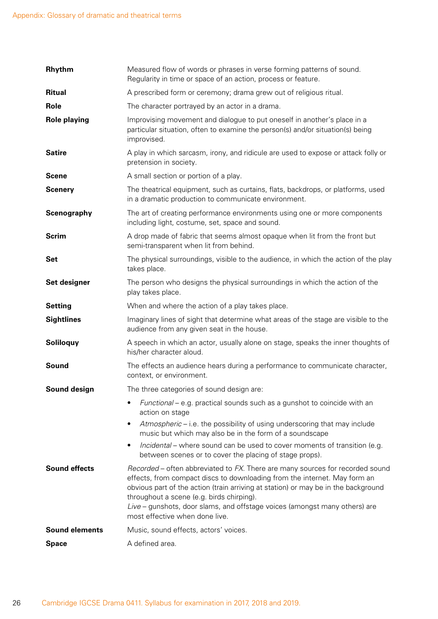| <b>Rhythm</b>         | Measured flow of words or phrases in verse forming patterns of sound.<br>Regularity in time or space of an action, process or feature.                                                                                                                                                                                                                                                                        |
|-----------------------|---------------------------------------------------------------------------------------------------------------------------------------------------------------------------------------------------------------------------------------------------------------------------------------------------------------------------------------------------------------------------------------------------------------|
| <b>Ritual</b>         | A prescribed form or ceremony; drama grew out of religious ritual.                                                                                                                                                                                                                                                                                                                                            |
| Role                  | The character portrayed by an actor in a drama.                                                                                                                                                                                                                                                                                                                                                               |
| <b>Role playing</b>   | Improvising movement and dialogue to put oneself in another's place in a<br>particular situation, often to examine the person(s) and/or situation(s) being<br>improvised.                                                                                                                                                                                                                                     |
| <b>Satire</b>         | A play in which sarcasm, irony, and ridicule are used to expose or attack folly or<br>pretension in society.                                                                                                                                                                                                                                                                                                  |
| <b>Scene</b>          | A small section or portion of a play.                                                                                                                                                                                                                                                                                                                                                                         |
| <b>Scenery</b>        | The theatrical equipment, such as curtains, flats, backdrops, or platforms, used<br>in a dramatic production to communicate environment.                                                                                                                                                                                                                                                                      |
| Scenography           | The art of creating performance environments using one or more components<br>including light, costume, set, space and sound.                                                                                                                                                                                                                                                                                  |
| <b>Scrim</b>          | A drop made of fabric that seems almost opaque when lit from the front but<br>semi-transparent when lit from behind.                                                                                                                                                                                                                                                                                          |
| <b>Set</b>            | The physical surroundings, visible to the audience, in which the action of the play<br>takes place.                                                                                                                                                                                                                                                                                                           |
| Set designer          | The person who designs the physical surroundings in which the action of the<br>play takes place.                                                                                                                                                                                                                                                                                                              |
| <b>Setting</b>        | When and where the action of a play takes place.                                                                                                                                                                                                                                                                                                                                                              |
| <b>Sightlines</b>     | Imaginary lines of sight that determine what areas of the stage are visible to the<br>audience from any given seat in the house.                                                                                                                                                                                                                                                                              |
| <b>Soliloquy</b>      | A speech in which an actor, usually alone on stage, speaks the inner thoughts of<br>his/her character aloud.                                                                                                                                                                                                                                                                                                  |
| Sound                 | The effects an audience hears during a performance to communicate character,<br>context, or environment.                                                                                                                                                                                                                                                                                                      |
| Sound design          | The three categories of sound design are:                                                                                                                                                                                                                                                                                                                                                                     |
|                       | Functional - e.g. practical sounds such as a gunshot to coincide with an<br>action on stage                                                                                                                                                                                                                                                                                                                   |
|                       | Atmospheric – i.e. the possibility of using underscoring that may include<br>٠<br>music but which may also be in the form of a soundscape                                                                                                                                                                                                                                                                     |
|                       | Incidental – where sound can be used to cover moments of transition (e.g.<br>$\bullet$<br>between scenes or to cover the placing of stage props).                                                                                                                                                                                                                                                             |
| <b>Sound effects</b>  | Recorded – often abbreviated to FX. There are many sources for recorded sound<br>effects, from compact discs to downloading from the internet. May form an<br>obvious part of the action (train arriving at station) or may be in the background<br>throughout a scene (e.g. birds chirping).<br>Live – gunshots, door slams, and offstage voices (amongst many others) are<br>most effective when done live. |
| <b>Sound elements</b> | Music, sound effects, actors' voices.                                                                                                                                                                                                                                                                                                                                                                         |
| <b>Space</b>          | A defined area.                                                                                                                                                                                                                                                                                                                                                                                               |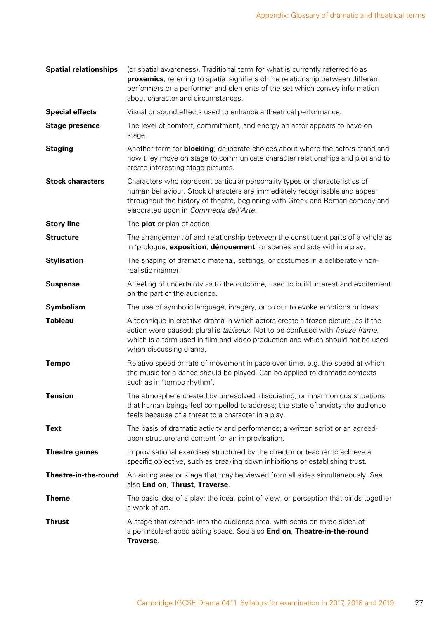| <b>Spatial relationships</b> | (or spatial awareness). Traditional term for what is currently referred to as<br>proxemics, referring to spatial signifiers of the relationship between different<br>performers or a performer and elements of the set which convey information<br>about character and circumstances. |
|------------------------------|---------------------------------------------------------------------------------------------------------------------------------------------------------------------------------------------------------------------------------------------------------------------------------------|
| <b>Special effects</b>       | Visual or sound effects used to enhance a theatrical performance.                                                                                                                                                                                                                     |
| <b>Stage presence</b>        | The level of comfort, commitment, and energy an actor appears to have on<br>stage.                                                                                                                                                                                                    |
| <b>Staging</b>               | Another term for <b>blocking</b> ; deliberate choices about where the actors stand and<br>how they move on stage to communicate character relationships and plot and to<br>create interesting stage pictures.                                                                         |
| <b>Stock characters</b>      | Characters who represent particular personality types or characteristics of<br>human behaviour. Stock characters are immediately recognisable and appear<br>throughout the history of theatre, beginning with Greek and Roman comedy and<br>elaborated upon in Commedia dell'Arte.    |
| <b>Story line</b>            | The <b>plot</b> or plan of action.                                                                                                                                                                                                                                                    |
| <b>Structure</b>             | The arrangement of and relationship between the constituent parts of a whole as<br>in 'prologue, exposition, dénouement' or scenes and acts within a play.                                                                                                                            |
| <b>Stylisation</b>           | The shaping of dramatic material, settings, or costumes in a deliberately non-<br>realistic manner.                                                                                                                                                                                   |
| <b>Suspense</b>              | A feeling of uncertainty as to the outcome, used to build interest and excitement<br>on the part of the audience.                                                                                                                                                                     |
| Symbolism                    | The use of symbolic language, imagery, or colour to evoke emotions or ideas.                                                                                                                                                                                                          |
| <b>Tableau</b>               | A technique in creative drama in which actors create a frozen picture, as if the<br>action were paused; plural is tableaux. Not to be confused with freeze frame,<br>which is a term used in film and video production and which should not be used<br>when discussing drama.         |
| <b>Tempo</b>                 | Relative speed or rate of movement in pace over time, e.g. the speed at which<br>the music for a dance should be played. Can be applied to dramatic contexts<br>such as in 'tempo rhythm'.                                                                                            |
| <b>Tension</b>               | The atmosphere created by unresolved, disquieting, or inharmonious situations<br>that human beings feel compelled to address; the state of anxiety the audience<br>feels because of a threat to a character in a play.                                                                |
| <b>Text</b>                  | The basis of dramatic activity and performance; a written script or an agreed-<br>upon structure and content for an improvisation.                                                                                                                                                    |
| Theatre games                | Improvisational exercises structured by the director or teacher to achieve a<br>specific objective, such as breaking down inhibitions or establishing trust.                                                                                                                          |
| Theatre-in-the-round         | An acting area or stage that may be viewed from all sides simultaneously. See<br>also End on, Thrust, Traverse.                                                                                                                                                                       |
| <b>Theme</b>                 | The basic idea of a play; the idea, point of view, or perception that binds together<br>a work of art.                                                                                                                                                                                |
| <b>Thrust</b>                | A stage that extends into the audience area, with seats on three sides of<br>a peninsula-shaped acting space. See also End on, Theatre-in-the-round,<br>Traverse.                                                                                                                     |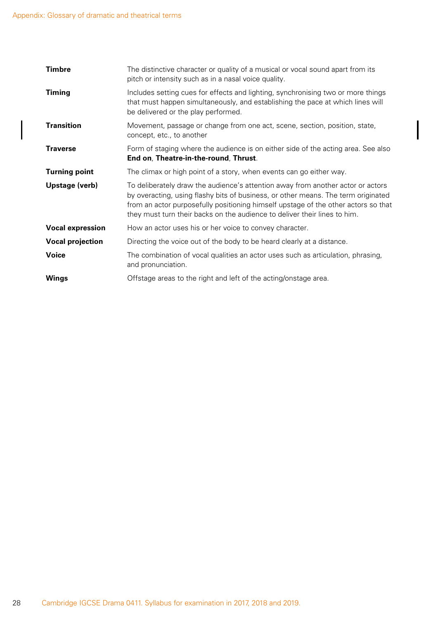$\overline{\phantom{a}}$ 

| <b>Timbre</b>           | The distinctive character or quality of a musical or vocal sound apart from its<br>pitch or intensity such as in a nasal voice quality.                                                                                                                                                                                                 |
|-------------------------|-----------------------------------------------------------------------------------------------------------------------------------------------------------------------------------------------------------------------------------------------------------------------------------------------------------------------------------------|
| <b>Timing</b>           | Includes setting cues for effects and lighting, synchronising two or more things<br>that must happen simultaneously, and establishing the pace at which lines will<br>be delivered or the play performed.                                                                                                                               |
| <b>Transition</b>       | Movement, passage or change from one act, scene, section, position, state,<br>concept, etc., to another                                                                                                                                                                                                                                 |
| <b>Traverse</b>         | Form of staging where the audience is on either side of the acting area. See also<br>End on, Theatre-in-the-round, Thrust.                                                                                                                                                                                                              |
| <b>Turning point</b>    | The climax or high point of a story, when events can go either way.                                                                                                                                                                                                                                                                     |
| Upstage (verb)          | To deliberately draw the audience's attention away from another actor or actors<br>by overacting, using flashy bits of business, or other means. The term originated<br>from an actor purposefully positioning himself upstage of the other actors so that<br>they must turn their backs on the audience to deliver their lines to him. |
| <b>Vocal expression</b> | How an actor uses his or her voice to convey character.                                                                                                                                                                                                                                                                                 |
| <b>Vocal projection</b> | Directing the voice out of the body to be heard clearly at a distance.                                                                                                                                                                                                                                                                  |
| <b>Voice</b>            | The combination of vocal qualities an actor uses such as articulation, phrasing,<br>and pronunciation.                                                                                                                                                                                                                                  |
| <b>Wings</b>            | Offstage areas to the right and left of the acting/onstage area.                                                                                                                                                                                                                                                                        |
|                         |                                                                                                                                                                                                                                                                                                                                         |